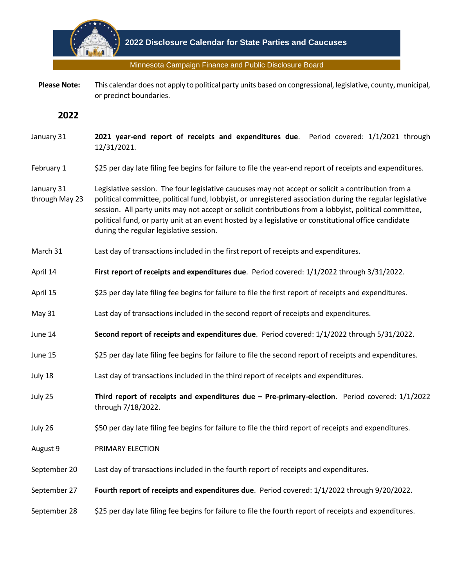

Minnesota Campaign Finance and Public Disclosure Board

 **Please Note:** This calendar does not apply to political party units based on congressional, legislative, county, municipal, or precinct boundaries.

**2022**

- January 31 **2021 year-end report of receipts and expenditures due**. Period covered: 1/1/2021 through 12/31/2021.
- February 1 \$25 per day late filing fee begins for failure to file the year-end report of receipts and expenditures.
- January 31 through May 23 Legislative session. The four legislative caucuses may not accept or solicit a contribution from a political committee, political fund, lobbyist, or unregistered association during the regular legislative session. All party units may not accept or solicit contributions from a lobbyist, political committee, political fund, or party unit at an event hosted by a legislative or constitutional office candidate during the regular legislative session.
- March 31 Last day of transactions included in the first report of receipts and expenditures.
- April 14 **First report of receipts and expenditures due**. Period covered: 1/1/2022 through 3/31/2022.
- April 15 \$25 per day late filing fee begins for failure to file the first report of receipts and expenditures.
- May 31 Last day of transactions included in the second report of receipts and expenditures.
- June 14 **Second report of receipts and expenditures due**. Period covered: 1/1/2022 through 5/31/2022.
- June 15 \$25 per day late filing fee begins for failure to file the second report of receipts and expenditures.
- July 18 Last day of transactions included in the third report of receipts and expenditures.
- July 25 **Third report of receipts and expenditures due – Pre-primary-election**. Period covered: 1/1/2022 through 7/18/2022.
- July 26 \$50 per day late filing fee begins for failure to file the third report of receipts and expenditures.
- August 9 PRIMARY ELECTION
- September 20 Last day of transactions included in the fourth report of receipts and expenditures.
- September 27 **Fourth report of receipts and expenditures due**. Period covered: 1/1/2022 through 9/20/2022.
- September 28 \$25 per day late filing fee begins for failure to file the fourth report of receipts and expenditures.